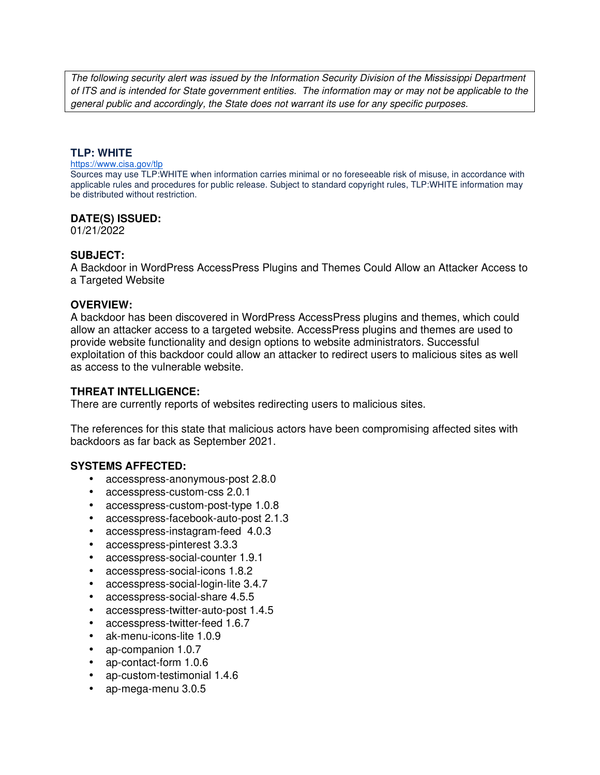The following security alert was issued by the Information Security Division of the Mississippi Department of ITS and is intended for State government entities. The information may or may not be applicable to the general public and accordingly, the State does not warrant its use for any specific purposes.

### **TLP: WHITE**

#### https://www.cisa.gov/tlp

Sources may use TLP:WHITE when information carries minimal or no foreseeable risk of misuse, in accordance with applicable rules and procedures for public release. Subject to standard copyright rules, TLP:WHITE information may be distributed without restriction.

### **DATE(S) ISSUED:**

01/21/2022

# **SUBJECT:**

A Backdoor in WordPress AccessPress Plugins and Themes Could Allow an Attacker Access to a Targeted Website

#### **OVERVIEW:**

A backdoor has been discovered in WordPress AccessPress plugins and themes, which could allow an attacker access to a targeted website. AccessPress plugins and themes are used to provide website functionality and design options to website administrators. Successful exploitation of this backdoor could allow an attacker to redirect users to malicious sites as well as access to the vulnerable website.

#### **THREAT INTELLIGENCE:**

There are currently reports of websites redirecting users to malicious sites.

The references for this state that malicious actors have been compromising affected sites with backdoors as far back as September 2021.

# **SYSTEMS AFFECTED:**

- accesspress-anonymous-post 2.8.0
- accesspress-custom-css 2.0.1
- accesspress-custom-post-type 1.0.8
- accesspress-facebook-auto-post 2.1.3
- accesspress-instagram-feed 4.0.3
- accesspress-pinterest 3.3.3
- accesspress-social-counter 1.9.1
- accesspress-social-icons 1.8.2
- accesspress-social-login-lite 3.4.7
- accesspress-social-share 4.5.5
- accesspress-twitter-auto-post 1.4.5
- accesspress-twitter-feed 1.6.7
- ak-menu-icons-lite 1.0.9
- ap-companion 1.0.7
- ap-contact-form 1.0.6
- ap-custom-testimonial 1.4.6
- ap-mega-menu 3.0.5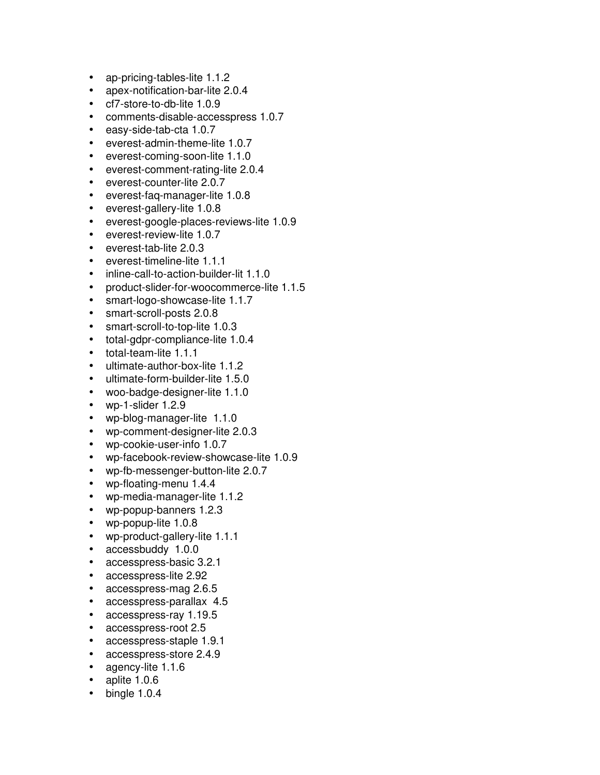- ap-pricing-tables-lite 1.1.2
- apex-notification-bar-lite 2.0.4
- cf7-store-to-db-lite 1.0.9
- comments-disable-accesspress 1.0.7
- easy-side-tab-cta 1.0.7
- everest-admin-theme-lite 1.0.7
- everest-coming-soon-lite 1.1.0
- everest-comment-rating-lite 2.0.4
- everest-counter-lite 2.0.7
- everest-faq-manager-lite 1.0.8
- everest-gallery-lite 1.0.8
- everest-google-places-reviews-lite 1.0.9
- everest-review-lite 1.0.7
- everest-tab-lite 2.0.3
- everest-timeline-lite 1.1.1
- inline-call-to-action-builder-lit 1.1.0
- product-slider-for-woocommerce-lite 1.1.5
- smart-logo-showcase-lite 1.1.7
- smart-scroll-posts 2.0.8
- smart-scroll-to-top-lite 1.0.3
- total-gdpr-compliance-lite 1.0.4
- total-team-lite 1.1.1
- ultimate-author-box-lite 1.1.2
- ultimate-form-builder-lite 1.5.0
- woo-badge-designer-lite 1.1.0
- wp-1-slider 1.2.9
- wp-blog-manager-lite 1.1.0
- wp-comment-designer-lite 2.0.3
- wp-cookie-user-info 1.0.7
- wp-facebook-review-showcase-lite 1.0.9
- wp-fb-messenger-button-lite 2.0.7
- wp-floating-menu 1.4.4
- wp-media-manager-lite 1.1.2
- wp-popup-banners 1.2.3
- wp-popup-lite 1.0.8
- wp-product-gallery-lite 1.1.1
- accessbuddy 1.0.0
- accesspress-basic 3.2.1
- accesspress-lite 2.92
- accesspress-mag 2.6.5
- accesspress-parallax 4.5
- accesspress-ray 1.19.5
- accesspress-root 2.5
- accesspress-staple 1.9.1
- accesspress-store 2.4.9
- agency-lite 1.1.6
- aplite 1.0.6
- $\bullet$  bingle 1.0.4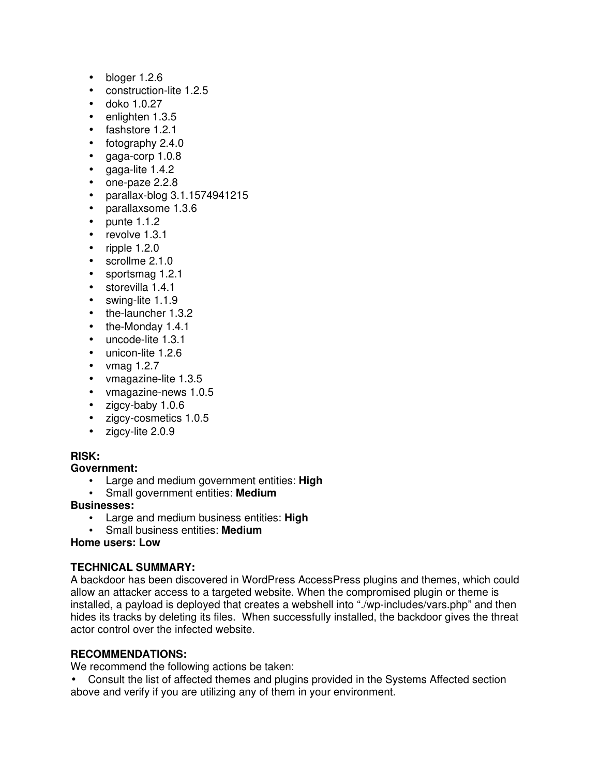- $\bullet$  bloger 1.2.6
- construction-lite 1.2.5
- doko 1.0.27
- enlighten 1.3.5
- fashstore 1.2.1
- fotography 2.4.0
- gaga-corp 1.0.8
- gaga-lite 1.4.2
- one-paze 2.2.8
- parallax-blog 3.1.1574941215
- parallaxsome 1.3.6
- $\bullet$  punte 1.1.2
- revolve 1.3.1
- $\bullet$  ripple 1.2.0
- scrollme 2.1.0
- sportsmag 1.2.1
- storevilla 1.4.1
- swing-lite 1.1.9
- the-launcher 1.3.2
- the-Monday 1.4.1
- uncode-lite 1.3.1
- unicon-lite 1.2.6
- vmag  $1.2.7$
- vmagazine-lite 1.3.5
- vmagazine-news 1.0.5
- zigcy-baby 1.0.6
- zigcy-cosmetics 1.0.5
- zigcy-lite 2.0.9

# **RISK:**

# **Government:**

- Large and medium government entities: **High**
- Small government entities: **Medium**

# **Businesses:**

- Large and medium business entities: **High**
- Small business entities: **Medium**

# **Home users: Low**

# **TECHNICAL SUMMARY:**

A backdoor has been discovered in WordPress AccessPress plugins and themes, which could allow an attacker access to a targeted website. When the compromised plugin or theme is installed, a payload is deployed that creates a webshell into "./wp-includes/vars.php" and then hides its tracks by deleting its files. When successfully installed, the backdoor gives the threat actor control over the infected website.

# **RECOMMENDATIONS:**

We recommend the following actions be taken:

• Consult the list of affected themes and plugins provided in the Systems Affected section above and verify if you are utilizing any of them in your environment.